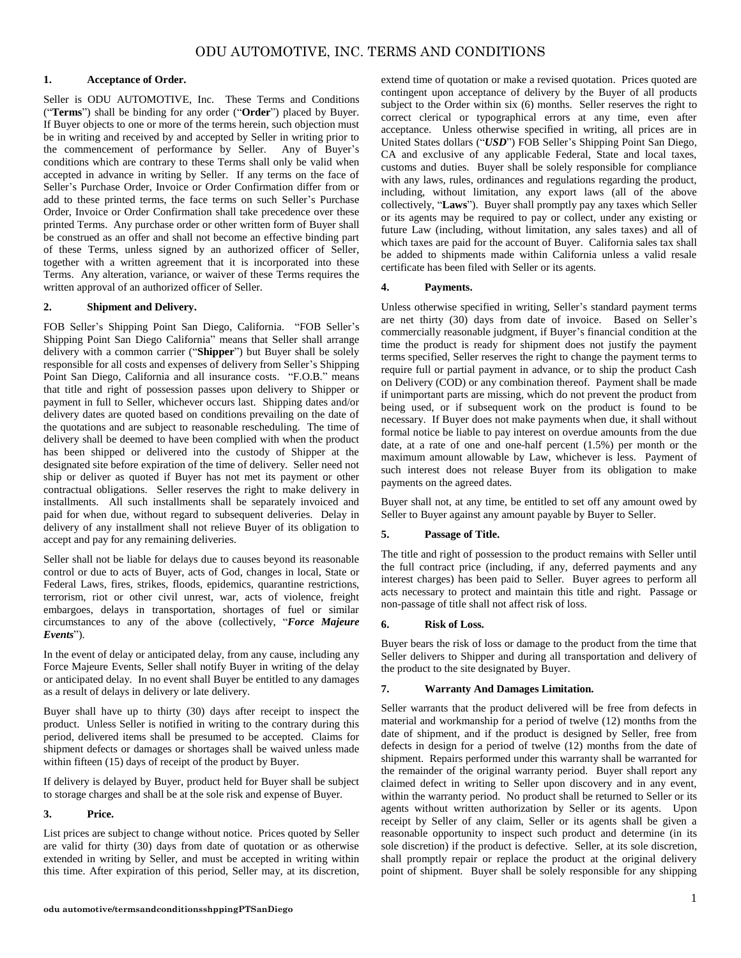# **1. Acceptance of Order.**

Seller is ODU AUTOMOTIVE, Inc. These Terms and Conditions ("**Terms**") shall be binding for any order ("**Order**") placed by Buyer. If Buyer objects to one or more of the terms herein, such objection must be in writing and received by and accepted by Seller in writing prior to the commencement of performance by Seller. Any of Buyer's conditions which are contrary to these Terms shall only be valid when accepted in advance in writing by Seller. If any terms on the face of Seller's Purchase Order, Invoice or Order Confirmation differ from or add to these printed terms, the face terms on such Seller's Purchase Order, Invoice or Order Confirmation shall take precedence over these printed Terms. Any purchase order or other written form of Buyer shall be construed as an offer and shall not become an effective binding part of these Terms, unless signed by an authorized officer of Seller, together with a written agreement that it is incorporated into these Terms. Any alteration, variance, or waiver of these Terms requires the written approval of an authorized officer of Seller.

## **2. Shipment and Delivery.**

FOB Seller's Shipping Point San Diego, California. "FOB Seller's Shipping Point San Diego California" means that Seller shall arrange delivery with a common carrier ("**Shipper**") but Buyer shall be solely responsible for all costs and expenses of delivery from Seller's Shipping Point San Diego, California and all insurance costs. "F.O.B." means that title and right of possession passes upon delivery to Shipper or payment in full to Seller, whichever occurs last. Shipping dates and/or delivery dates are quoted based on conditions prevailing on the date of the quotations and are subject to reasonable rescheduling. The time of delivery shall be deemed to have been complied with when the product has been shipped or delivered into the custody of Shipper at the designated site before expiration of the time of delivery. Seller need not ship or deliver as quoted if Buyer has not met its payment or other contractual obligations. Seller reserves the right to make delivery in installments. All such installments shall be separately invoiced and paid for when due, without regard to subsequent deliveries. Delay in delivery of any installment shall not relieve Buyer of its obligation to accept and pay for any remaining deliveries.

Seller shall not be liable for delays due to causes beyond its reasonable control or due to acts of Buyer, acts of God, changes in local, State or Federal Laws, fires, strikes, floods, epidemics, quarantine restrictions, terrorism, riot or other civil unrest, war, acts of violence, freight embargoes, delays in transportation, shortages of fuel or similar circumstances to any of the above (collectively, "*Force Majeure Events*").

In the event of delay or anticipated delay, from any cause, including any Force Majeure Events, Seller shall notify Buyer in writing of the delay or anticipated delay. In no event shall Buyer be entitled to any damages as a result of delays in delivery or late delivery.

Buyer shall have up to thirty (30) days after receipt to inspect the product. Unless Seller is notified in writing to the contrary during this period, delivered items shall be presumed to be accepted. Claims for shipment defects or damages or shortages shall be waived unless made within fifteen (15) days of receipt of the product by Buyer.

If delivery is delayed by Buyer, product held for Buyer shall be subject to storage charges and shall be at the sole risk and expense of Buyer.

#### **3. Price.**

List prices are subject to change without notice. Prices quoted by Seller are valid for thirty (30) days from date of quotation or as otherwise extended in writing by Seller, and must be accepted in writing within this time. After expiration of this period, Seller may, at its discretion, extend time of quotation or make a revised quotation. Prices quoted are contingent upon acceptance of delivery by the Buyer of all products subject to the Order within six (6) months. Seller reserves the right to correct clerical or typographical errors at any time, even after acceptance. Unless otherwise specified in writing, all prices are in United States dollars ("*USD*") FOB Seller's Shipping Point San Diego, CA and exclusive of any applicable Federal, State and local taxes, customs and duties. Buyer shall be solely responsible for compliance with any laws, rules, ordinances and regulations regarding the product, including, without limitation, any export laws (all of the above collectively, "**Laws**"). Buyer shall promptly pay any taxes which Seller or its agents may be required to pay or collect, under any existing or future Law (including, without limitation, any sales taxes) and all of which taxes are paid for the account of Buyer. California sales tax shall be added to shipments made within California unless a valid resale certificate has been filed with Seller or its agents.

## **4. Payments.**

Unless otherwise specified in writing, Seller's standard payment terms are net thirty (30) days from date of invoice. Based on Seller's commercially reasonable judgment, if Buyer's financial condition at the time the product is ready for shipment does not justify the payment terms specified, Seller reserves the right to change the payment terms to require full or partial payment in advance, or to ship the product Cash on Delivery (COD) or any combination thereof. Payment shall be made if unimportant parts are missing, which do not prevent the product from being used, or if subsequent work on the product is found to be necessary. If Buyer does not make payments when due, it shall without formal notice be liable to pay interest on overdue amounts from the due date, at a rate of one and one-half percent (1.5%) per month or the maximum amount allowable by Law, whichever is less. Payment of such interest does not release Buyer from its obligation to make payments on the agreed dates.

Buyer shall not, at any time, be entitled to set off any amount owed by Seller to Buyer against any amount payable by Buyer to Seller.

# **5. Passage of Title.**

The title and right of possession to the product remains with Seller until the full contract price (including, if any, deferred payments and any interest charges) has been paid to Seller. Buyer agrees to perform all acts necessary to protect and maintain this title and right. Passage or non-passage of title shall not affect risk of loss.

#### **6. Risk of Loss.**

Buyer bears the risk of loss or damage to the product from the time that Seller delivers to Shipper and during all transportation and delivery of the product to the site designated by Buyer.

#### **7. Warranty And Damages Limitation.**

Seller warrants that the product delivered will be free from defects in material and workmanship for a period of twelve (12) months from the date of shipment, and if the product is designed by Seller, free from defects in design for a period of twelve (12) months from the date of shipment. Repairs performed under this warranty shall be warranted for the remainder of the original warranty period. Buyer shall report any claimed defect in writing to Seller upon discovery and in any event, within the warranty period. No product shall be returned to Seller or its agents without written authorization by Seller or its agents. Upon receipt by Seller of any claim, Seller or its agents shall be given a reasonable opportunity to inspect such product and determine (in its sole discretion) if the product is defective. Seller, at its sole discretion, shall promptly repair or replace the product at the original delivery point of shipment. Buyer shall be solely responsible for any shipping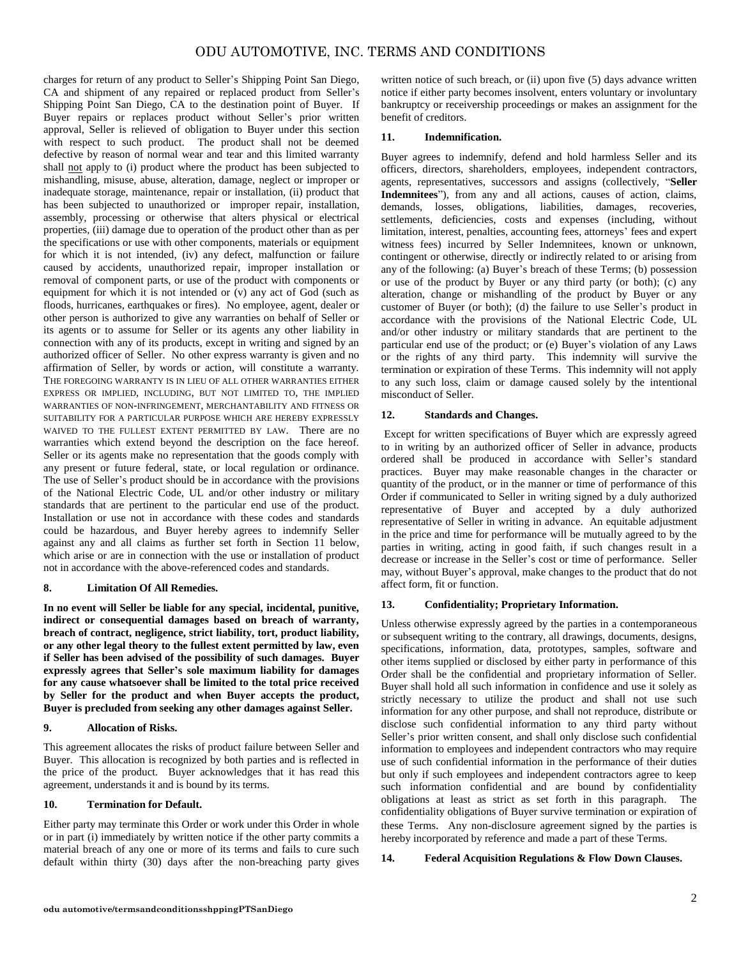charges for return of any product to Seller's Shipping Point San Diego, CA and shipment of any repaired or replaced product from Seller's Shipping Point San Diego, CA to the destination point of Buyer. If Buyer repairs or replaces product without Seller's prior written approval, Seller is relieved of obligation to Buyer under this section with respect to such product. The product shall not be deemed defective by reason of normal wear and tear and this limited warranty shall not apply to (i) product where the product has been subjected to mishandling, misuse, abuse, alteration, damage, neglect or improper or inadequate storage, maintenance, repair or installation, (ii) product that has been subjected to unauthorized or improper repair, installation, assembly, processing or otherwise that alters physical or electrical properties, (iii) damage due to operation of the product other than as per the specifications or use with other components, materials or equipment for which it is not intended, (iv) any defect, malfunction or failure caused by accidents, unauthorized repair, improper installation or removal of component parts, or use of the product with components or equipment for which it is not intended or  $(v)$  any act of God (such as floods, hurricanes, earthquakes or fires). No employee, agent, dealer or other person is authorized to give any warranties on behalf of Seller or its agents or to assume for Seller or its agents any other liability in connection with any of its products, except in writing and signed by an authorized officer of Seller. No other express warranty is given and no affirmation of Seller, by words or action, will constitute a warranty. THE FOREGOING WARRANTY IS IN LIEU OF ALL OTHER WARRANTIES EITHER EXPRESS OR IMPLIED, INCLUDING, BUT NOT LIMITED TO, THE IMPLIED WARRANTIES OF NON-INFRINGEMENT, MERCHANTABILITY AND FITNESS OR SUITABILITY FOR A PARTICULAR PURPOSE WHICH ARE HEREBY EXPRESSLY WAIVED TO THE FULLEST EXTENT PERMITTED BY LAW. There are no warranties which extend beyond the description on the face hereof. Seller or its agents make no representation that the goods comply with any present or future federal, state, or local regulation or ordinance. The use of Seller's product should be in accordance with the provisions of the National Electric Code, UL and/or other industry or military standards that are pertinent to the particular end use of the product. Installation or use not in accordance with these codes and standards could be hazardous, and Buyer hereby agrees to indemnify Seller against any and all claims as further set forth in Section 11 below, which arise or are in connection with the use or installation of product not in accordance with the above-referenced codes and standards.

#### **8. Limitation Of All Remedies.**

**In no event will Seller be liable for any special, incidental, punitive, indirect or consequential damages based on breach of warranty, breach of contract, negligence, strict liability, tort, product liability, or any other legal theory to the fullest extent permitted by law, even if Seller has been advised of the possibility of such damages. Buyer expressly agrees that Seller's sole maximum liability for damages for any cause whatsoever shall be limited to the total price received by Seller for the product and when Buyer accepts the product, Buyer is precluded from seeking any other damages against Seller.**

#### **9. Allocation of Risks.**

This agreement allocates the risks of product failure between Seller and Buyer. This allocation is recognized by both parties and is reflected in the price of the product. Buyer acknowledges that it has read this agreement, understands it and is bound by its terms.

## **10. Termination for Default.**

Either party may terminate this Order or work under this Order in whole or in part (i) immediately by written notice if the other party commits a material breach of any one or more of its terms and fails to cure such default within thirty (30) days after the non-breaching party gives written notice of such breach, or (ii) upon five (5) days advance written notice if either party becomes insolvent, enters voluntary or involuntary bankruptcy or receivership proceedings or makes an assignment for the benefit of creditors.

## **11. Indemnification.**

Buyer agrees to indemnify, defend and hold harmless Seller and its officers, directors, shareholders, employees, independent contractors, agents, representatives, successors and assigns (collectively, "**Seller Indemnitees**"), from any and all actions, causes of action, claims, demands, losses, obligations, liabilities, damages, recoveries, settlements, deficiencies, costs and expenses (including, without limitation, interest, penalties, accounting fees, attorneys' fees and expert witness fees) incurred by Seller Indemnitees, known or unknown, contingent or otherwise, directly or indirectly related to or arising from any of the following: (a) Buyer's breach of these Terms; (b) possession or use of the product by Buyer or any third party (or both); (c) any alteration, change or mishandling of the product by Buyer or any customer of Buyer (or both); (d) the failure to use Seller's product in accordance with the provisions of the National Electric Code, UL and/or other industry or military standards that are pertinent to the particular end use of the product; or (e) Buyer's violation of any Laws or the rights of any third party. This indemnity will survive the termination or expiration of these Terms. This indemnity will not apply to any such loss, claim or damage caused solely by the intentional misconduct of Seller.

# **12. Standards and Changes.**

Except for written specifications of Buyer which are expressly agreed to in writing by an authorized officer of Seller in advance, products ordered shall be produced in accordance with Seller's standard practices. Buyer may make reasonable changes in the character or quantity of the product, or in the manner or time of performance of this Order if communicated to Seller in writing signed by a duly authorized representative of Buyer and accepted by a duly authorized representative of Seller in writing in advance. An equitable adjustment in the price and time for performance will be mutually agreed to by the parties in writing, acting in good faith, if such changes result in a decrease or increase in the Seller's cost or time of performance. Seller may, without Buyer's approval, make changes to the product that do not affect form, fit or function.

# **13. Confidentiality; Proprietary Information.**

Unless otherwise expressly agreed by the parties in a contemporaneous or subsequent writing to the contrary, all drawings, documents, designs, specifications, information, data, prototypes, samples, software and other items supplied or disclosed by either party in performance of this Order shall be the confidential and proprietary information of Seller. Buyer shall hold all such information in confidence and use it solely as strictly necessary to utilize the product and shall not use such information for any other purpose, and shall not reproduce, distribute or disclose such confidential information to any third party without Seller's prior written consent, and shall only disclose such confidential information to employees and independent contractors who may require use of such confidential information in the performance of their duties but only if such employees and independent contractors agree to keep such information confidential and are bound by confidentiality obligations at least as strict as set forth in this paragraph. The confidentiality obligations of Buyer survive termination or expiration of these Terms. Any non-disclosure agreement signed by the parties is hereby incorporated by reference and made a part of these Terms.

# **14. Federal Acquisition Regulations & Flow Down Clauses.**